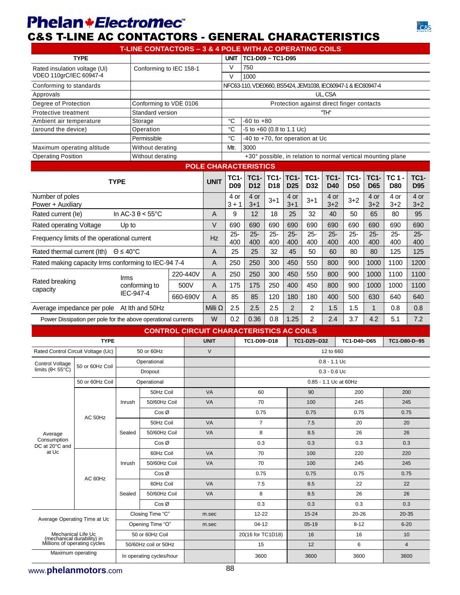## **Phelan+Electromec**®





|                                                                                                          |                                                               |                            |                                     | T-LINE CONTACTORS - 3 & 4 POLE WITH AC OPERATING COILS |                |                           |                                                                      |                                |                                |                    |                                         |                                           |                           |                                                              |                           |
|----------------------------------------------------------------------------------------------------------|---------------------------------------------------------------|----------------------------|-------------------------------------|--------------------------------------------------------|----------------|---------------------------|----------------------------------------------------------------------|--------------------------------|--------------------------------|--------------------|-----------------------------------------|-------------------------------------------|---------------------------|--------------------------------------------------------------|---------------------------|
|                                                                                                          | <b>TYPE</b>                                                   |                            |                                     |                                                        |                | <b>UNIT</b>               | TC1-D09 ~ TC1-D95                                                    |                                |                                |                    |                                         |                                           |                           |                                                              |                           |
| Rated insulation voltage (Ui)                                                                            |                                                               |                            |                                     | Conforming to IEC 158-1                                |                | $\vee$                    | 750                                                                  |                                |                                |                    |                                         |                                           |                           |                                                              |                           |
| VDEO 110grC/IEC 60947-4<br>Conforming to standards                                                       |                                                               |                            |                                     |                                                        |                | $\vee$                    | 1000<br>NFC63-110, VDE0660, BS5424, JEM1038, IEC60947-1 & IEC60947-4 |                                |                                |                    |                                         |                                           |                           |                                                              |                           |
| Approvals                                                                                                |                                                               |                            |                                     |                                                        |                |                           |                                                                      |                                |                                |                    | UL, CSA                                 |                                           |                           |                                                              |                           |
|                                                                                                          |                                                               |                            |                                     |                                                        |                |                           |                                                                      |                                |                                |                    |                                         |                                           |                           |                                                              |                           |
| Degree of Protection                                                                                     |                                                               |                            |                                     | Conforming to VDE 0106                                 |                |                           |                                                                      |                                |                                |                    |                                         | Protection against direct finger contacts |                           |                                                              |                           |
| Protective treatment                                                                                     |                                                               |                            | Standard version                    |                                                        |                |                           |                                                                      |                                |                                |                    | "TH"                                    |                                           |                           |                                                              |                           |
| Ambient air temperature                                                                                  |                                                               |                            | Storage                             |                                                        |                | °C                        | $-60$ to $+80$                                                       |                                |                                |                    |                                         |                                           |                           |                                                              |                           |
| (around the device)                                                                                      |                                                               |                            | Operation                           |                                                        |                | °C                        | -5 to +60 (0.8 to 1.1 Uc)                                            |                                |                                |                    |                                         |                                           |                           |                                                              |                           |
|                                                                                                          |                                                               |                            | Permissible                         |                                                        |                | °C                        | $\overline{40}$ to +70, for operation at Uc                          |                                |                                |                    |                                         |                                           |                           |                                                              |                           |
| Maximum operating altitude                                                                               |                                                               |                            | Without derating                    |                                                        |                | Mtr.                      | 3000                                                                 |                                |                                |                    |                                         |                                           |                           |                                                              |                           |
| <b>Operating Position</b>                                                                                |                                                               |                            | Without derating                    |                                                        |                |                           |                                                                      |                                |                                |                    |                                         |                                           |                           | +30° possible, in relation to normal vertical mounting plane |                           |
|                                                                                                          |                                                               |                            |                                     |                                                        |                |                           | <b>POLE CHARACTERISTICS</b>                                          |                                |                                |                    |                                         |                                           |                           |                                                              |                           |
|                                                                                                          |                                                               | <b>TYPE</b>                |                                     |                                                        | <b>UNIT</b>    | <b>TC1-</b><br><b>D09</b> | <b>TC1-</b><br>D <sub>12</sub>                                       | <b>TC1-</b><br>D <sub>18</sub> | <b>TC1-</b><br>D <sub>25</sub> | <b>TC1-</b><br>D32 | <b>TC1-</b><br><b>D40</b>               | <b>TC1-</b><br><b>D50</b>                 | <b>TC1-</b><br><b>D65</b> | <b>TC 1 -</b><br><b>D80</b>                                  | <b>TC1-</b><br><b>D95</b> |
| Number of poles<br>Power + Auxiliary                                                                     |                                                               |                            |                                     |                                                        |                | 4 or<br>$3 + 1$           | 4 or<br>$3 + 1$                                                      | $3 + 1$                        | 4 or<br>$3 + 1$                | $3 + 1$            | 4 or<br>$3 + 2$                         | $3 + 2$                                   | 4 or<br>$3 + 2$           | 4 or<br>$3 + 2$                                              | 4 or<br>$3 + 2$           |
| Rated current (le)                                                                                       |                                                               | In AC-3 $\theta$ < 55°C    |                                     |                                                        | A              | 9                         | 12                                                                   | 18                             | 25                             | 32                 | 40                                      | 50                                        | 65                        | 80                                                           | 95                        |
| Rated operating Voltage                                                                                  |                                                               | Up to                      |                                     |                                                        | $\vee$         | 690                       | 690                                                                  | 690                            | 690                            | 690                | 690                                     | 690                                       | 690                       | 690                                                          | 690                       |
| Frequency limits of the operational current                                                              |                                                               |                            |                                     |                                                        | Hz             | $25 -$<br>400             | $25 -$<br>400                                                        | $25 -$<br>400                  | $25 -$<br>400                  | $25 -$<br>400      | $25 -$<br>400                           | $25 -$<br>400                             | $25 -$<br>400             | $25 -$<br>400                                                | $25 -$<br>400             |
| Rated thermal current (Ith)                                                                              |                                                               | $\Theta \leq 40^{\circ}$ C |                                     |                                                        | A              | 25                        | 25                                                                   | 32                             | 45                             | 50                 | 60                                      | 80                                        | 80                        | 125                                                          | 125                       |
| Rated making capacity Irms conforming to IEC-94 7-4                                                      |                                                               |                            |                                     |                                                        | Α              | 250                       | 250                                                                  | 300                            | 450                            | 550                | 800                                     | 900                                       | 1000                      | 1100                                                         | 1200                      |
|                                                                                                          |                                                               | Irms                       |                                     | 220-440V                                               | A              | 250                       | 250                                                                  | 300                            | 450                            | 550                | 800                                     | 900                                       | 1000                      | 1100                                                         | 1100                      |
| Rated breaking<br>capacity                                                                               |                                                               |                            | conforming to<br>500V               |                                                        | A              | 175                       | 175                                                                  | 250                            | 400                            | 450                | 800                                     | 900                                       | 1000                      | 1000                                                         | 1100                      |
|                                                                                                          | IEC-947-4<br>660-690V                                         |                            | A                                   | 85                                                     | 85             | 120                       | 180                                                                  | 180                            | 400                            | 500                | 630                                     | 640                                       | 640                       |                                                              |                           |
| Average impedance per pole At Ith and 50Hz                                                               |                                                               |                            |                                     |                                                        | Milli $\Omega$ | 2.5                       | 2.5                                                                  | 2.5                            | $\overline{2}$                 | 2                  | 1.5                                     | 1.5                                       | $\mathbf{1}$              | 0.8                                                          | 0.8                       |
|                                                                                                          | Power Dissipation per pole for the above operational currents |                            |                                     |                                                        | W              | 0.2                       | 0.36                                                                 | 0.8                            | 1.25                           | $\overline{2}$     | 2.4                                     | 3.7                                       | 4.2                       | 5.1                                                          | 7.2                       |
|                                                                                                          |                                                               |                            |                                     | <b>CONTROL CIRCUIT CHARACTERISTICS AC COILS</b>        |                |                           |                                                                      |                                |                                |                    |                                         |                                           |                           |                                                              |                           |
|                                                                                                          | <b>TYPE</b>                                                   |                            |                                     |                                                        | <b>UNIT</b>    |                           | TC1-D09~D18                                                          |                                |                                | TC1-D25~D32        |                                         | TC1-D40~D65                               |                           | TC1-D80-D~95                                                 |                           |
| Rated Control Circuit Voltage (Uc)                                                                       |                                                               |                            | 50 or 60Hz                          |                                                        | $\vee$         | 12 to 660                 |                                                                      |                                |                                |                    |                                         |                                           |                           |                                                              |                           |
| <b>Control Voltage</b><br>limits ( $\theta$ < 55°C)                                                      | 50 or 60Hz Coil                                               |                            | Operational                         |                                                        |                |                           |                                                                      |                                |                                |                    | $0.8 - 1.1$ Uc                          |                                           |                           |                                                              |                           |
|                                                                                                          | 50 or 60Hz Coil                                               |                            | Dropout<br>Operational              |                                                        |                |                           |                                                                      |                                |                                |                    | $0.3 - 0.6$ Uc<br>0.85 - 1.1 Uc at 60Hz |                                           |                           |                                                              |                           |
|                                                                                                          |                                                               |                            |                                     |                                                        |                |                           |                                                                      |                                |                                |                    |                                         |                                           |                           |                                                              |                           |
|                                                                                                          |                                                               |                            | 50Hz Coil                           |                                                        | VA             |                           | 60                                                                   |                                |                                | 90                 |                                         | 200                                       |                           | 200                                                          |                           |
|                                                                                                          |                                                               | Inrush                     | 50/60Hz Coil                        |                                                        | VA             |                           | 70                                                                   |                                |                                | 100                |                                         | 245                                       |                           | 245                                                          |                           |
|                                                                                                          | AC 50Hz                                                       |                            | $\cos \varnothing$<br>50Hz Coil     |                                                        | VA             |                           | 0.75<br>$\overline{7}$                                               |                                |                                | 0.75<br>7.5        |                                         | 0.75<br>20                                |                           | 0.75<br>20                                                   |                           |
| Average                                                                                                  |                                                               | Sealed                     | 50/60Hz Coil                        |                                                        | <b>VA</b>      |                           | 8                                                                    |                                |                                | 8.5                |                                         | 26                                        |                           | 26                                                           |                           |
| Consumption<br>DC at 20°C and                                                                            |                                                               |                            | $Cos \varnothing$                   |                                                        |                |                           | 0.3                                                                  |                                |                                | 0.3                |                                         | 0.3                                       |                           | 0.3                                                          |                           |
| at Uc                                                                                                    |                                                               |                            | 60Hz Coil                           |                                                        | VA             |                           | 70                                                                   |                                |                                | 100                |                                         | 220                                       |                           | 220                                                          |                           |
|                                                                                                          |                                                               | Inrush                     | 50/60Hz Coil                        |                                                        | <b>VA</b>      |                           | 70                                                                   |                                |                                | 100                |                                         | 245                                       |                           | 245                                                          |                           |
|                                                                                                          | AC 60Hz                                                       |                            | $\cos \varnothing$                  |                                                        |                |                           | 0.75                                                                 |                                |                                | 0.75               |                                         | 0.75                                      |                           | 0.75                                                         |                           |
|                                                                                                          |                                                               |                            | 60Hz Coil                           |                                                        | VA             |                           | 7.5                                                                  |                                |                                | 8.5                |                                         | 22                                        |                           | 22                                                           |                           |
|                                                                                                          |                                                               | Sealed                     | 50/60Hz Coil                        |                                                        | <b>VA</b>      |                           | 8                                                                    |                                |                                | 8.5                |                                         | 26                                        |                           | 26                                                           |                           |
| $\cos \varnothing$                                                                                       |                                                               |                            |                                     |                                                        | 0.3            |                           |                                                                      | 0.3                            |                                | 0.3                |                                         | 0.3                                       |                           |                                                              |                           |
| Closing Time "C"<br>Average Operating Time at Uc                                                         |                                                               |                            |                                     |                                                        | m.sec          |                           | 12-22                                                                |                                |                                | $15 - 24$          |                                         | 20-26                                     |                           | 20-35                                                        |                           |
|                                                                                                          |                                                               |                            | Opening Time "O"<br>50 or 60Hz Coil |                                                        | m.sec          |                           | 04-12<br>20(16 for TC1D18)                                           |                                |                                | $05-19$<br>16      |                                         | $8 - 12$<br>16                            |                           | $6 - 20$                                                     |                           |
|                                                                                                          |                                                               |                            |                                     |                                                        |                |                           | 15                                                                   |                                | 6<br>12                        |                    | 10<br>$\overline{4}$                    |                                           |                           |                                                              |                           |
| Mechanical Life Uc<br>(mechanical durability) in<br>Millions of operating cycles<br>50/60Hz coil or 50Hz |                                                               |                            |                                     |                                                        |                |                           | 3600                                                                 |                                |                                | 3600               |                                         | 3600                                      |                           | 3600                                                         |                           |
| Maximum operating<br>In operating cycles/hour                                                            |                                                               |                            |                                     |                                                        |                |                           |                                                                      |                                |                                |                    |                                         |                                           |                           |                                                              |                           |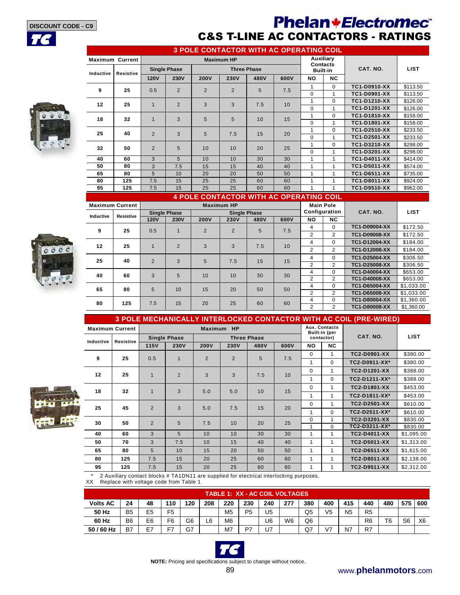**TC**

## **Phelan \*Electromec** C&S T-LINE AC CONTACTORS - RATINGS

**3 POLE CONTACTOR WITH AC OPERATING COIL**

**Built-in (per** 



|           | <u>J FOLL CONTACTOR WITH AC OF LIVATING COIL</u> |                |                     |                |                   |                    |      |           |                 |              |             |
|-----------|--------------------------------------------------|----------------|---------------------|----------------|-------------------|--------------------|------|-----------|-----------------|--------------|-------------|
|           | <b>Maximum Current</b>                           |                |                     |                | <b>Maximum HP</b> |                    |      | Auxiliary | <b>Contacts</b> |              |             |
| Inductive | Resistive                                        |                | <b>Single Phase</b> |                |                   | <b>Three Phase</b> |      |           | <b>Built-in</b> | CAT. NO.     | <b>LIST</b> |
|           |                                                  | <b>120V</b>    | <b>230V</b>         | <b>200V</b>    | 230V              | 480V               | 600V | <b>NO</b> | NC.             |              |             |
| 9         | 25                                               | 0.5            | $\overline{2}$      | $\overline{2}$ | $\overline{2}$    | 5                  | 7.5  | 1         | $\Omega$        | TC1-D0910-XX | \$113.50    |
|           |                                                  |                |                     |                |                   |                    |      | 0         |                 | TC1-D0901-XX | \$113.50    |
| 12        | 25                                               | $\mathbf{1}$   | $\overline{2}$      | 3              | 3                 | 7.5                | 10   | 1         | $\Omega$        | TC1-D1210-XX | \$126.00    |
|           |                                                  |                |                     |                |                   |                    |      | $\Omega$  | 1               | TC1-D1201-XX | \$126.00    |
| 18        | 32                                               | 1              | 3                   | 5              | 5                 | 10                 | 15   | 1         | $\Omega$        | TC1-D1810-XX | \$158.00    |
|           |                                                  |                |                     |                |                   |                    |      | $\Omega$  | 1               | TC1-D1801-XX | \$158.00    |
| 25        | 40                                               | $\overline{2}$ | 3                   | 5              | 7.5               | 15                 | 20   | 1         | $\Omega$        | TC1-D2510-XX | \$233.50    |
|           |                                                  |                |                     |                |                   |                    |      | $\Omega$  | 1               | TC1-D2501-XX | \$233.50    |
| 32        | 50                                               | $\overline{2}$ | 5                   | 10             | 10                | 20                 | 25   |           | $\Omega$        | TC1-D3210-XX | \$298.00    |
|           |                                                  |                |                     |                |                   |                    |      | $\Omega$  | 1               | TC1-D3201-XX | \$298.00    |
| 40        | 60                                               | 3              | 5                   | 10             | 10                | 30                 | 30   | 1         | 1               | TC1-D4011-XX | \$414.00    |
| 50        | 80                                               | 3              | 7.5                 | 15             | 15                | 40                 | 40   | 1         |                 | TC1-D5011-XX | \$574.00    |
| 65        | 80                                               | 5              | 10                  | 20             | 20                | 50                 | 50   | 1         | 1               | TC1-D6511-XX | \$735.00    |
| 80        | 125                                              | 7.5            | 15                  | 25             | 25                | 60                 | 60   | 1         |                 | TC1-D8011-XX | \$924.00    |
| 95        | 125                                              | 7.5            | 15                  | 25             | 25                | 60                 | 60   |           |                 | TC1-D9510-XX | \$962.00    |

### **4 POLE CONTACTOR WITH AC OPERATING COIL**



|           | <b>Maximum Current</b> |                     |                |             | <b>Maximum HP</b>   |      |      | <b>Main Pole</b> |                |                      |             |
|-----------|------------------------|---------------------|----------------|-------------|---------------------|------|------|------------------|----------------|----------------------|-------------|
|           |                        | <b>Single Phase</b> |                |             | <b>Single Phase</b> |      |      | Configuration    |                | CAT. NO.             | <b>LIST</b> |
| Inductive | <b>Resistive</b>       | <b>120V</b>         | <b>230V</b>    | <b>200V</b> | <b>230V</b>         | 480V | 600V | NO.              | <b>NC</b>      |                      |             |
| 9         | 25                     | 0.5                 | $\blacksquare$ | 2           | $\overline{2}$      | 5    | 7.5  | 4                | $\Omega$       | <b>TC1-D09004-XX</b> | \$172.50    |
|           |                        |                     |                |             |                     |      |      | 2                | 2              | TC1-D09008-XX        | \$172.50    |
| 12        | 25                     |                     | $\overline{2}$ | 3           | 3                   | 7.5  | 10   | 4                | $\Omega$       | TC1-D12004-XX        | \$184.00    |
|           |                        |                     |                |             |                     |      |      | 2                | $\overline{2}$ | TC1-D12008-XX        | \$184.00    |
| 25        | 40                     | 2                   | 3              | 5           | 7.5                 | 15   | 15   | 4                | 0              | TC1-D25004-XX        | \$306.50    |
|           |                        |                     |                |             |                     |      |      | 2                | $\overline{2}$ | TC1-D25008-XX        | \$306.50    |
| 40        | 60                     | 3                   | 5              | 10          | 10                  | 30   | 30   | 4                | $\Omega$       | TC1-D40004-XX        | \$653.00    |
|           |                        |                     |                |             |                     |      |      | 2                | 2              | TC1-D40008-XX        | \$653.00    |
| 65        | 80                     | 5                   | 10             | 15          | 20                  | 50   | 50   | 4                | $\Omega$       | TC1-D65004-XX        | \$1.033.00  |
|           |                        |                     |                |             |                     |      |      | $\overline{2}$   | 2              | TC1-D65008-XX        | \$1,033.00  |
| 80        | 125                    | 7.5                 | 15             | 20          | 25                  | 60   | 60   | 4                | 0              | TC1-D80004-XX        | \$1,360.00  |
|           |                        |                     |                |             |                     |      |      | 2                | 2              | TC1-D80008-XX        | \$1,360.00  |

#### **3 POLE MECHANICALLY INTERLOCKED CONTACTOR WITH AC COIL (PRE-WIRED) Maximum Current Maximum HP Aux. Contacts**

|                         | Inductive | Resistive |                | <b>Single Phase</b> |                |                | <b>Three Phase</b> |      |           | contactor)   | CAT. NO.            | LIST       |
|-------------------------|-----------|-----------|----------------|---------------------|----------------|----------------|--------------------|------|-----------|--------------|---------------------|------------|
|                         |           |           | <b>115V</b>    | 230V                | 200V           | <b>230V</b>    | 480V               | 600V | <b>NO</b> | <b>NC</b>    |                     |            |
|                         | 9         | 25        | 0.5            |                     | $\overline{2}$ | $\overline{2}$ | 5                  |      | $\Omega$  | $\mathbf{1}$ | <b>TC2-D0901-XX</b> | \$380.00   |
|                         |           |           |                |                     |                |                |                    | 7.5  |           | $\Omega$     | TC2-D0911-XX*       | \$380.00   |
|                         | 12        | 25        | $\mathbf 1$    | $\overline{2}$      | 3              | 3              | 7.5                | 10   | $\Omega$  |              | TC2-D1201-XX        | \$388.00   |
|                         |           |           |                |                     |                |                |                    |      |           | $\Omega$     | TC2-D1211-XX*       | \$388.00   |
|                         | 18        | 32        | $\mathbf 1$    | 3                   | 5.0            | 5.0            | 10                 | 15   | $\Omega$  | 1            | TC2-D1801-XX        | \$453.00   |
|                         |           |           |                |                     |                |                |                    |      |           |              | TC2-D1811-XX*       | \$453.00   |
| æ                       | 25        | 45        | $\overline{2}$ | 3                   | 5.0            | 7.5            | 15                 | 20   | 0         | 1            | TC2-D2501-XX        | \$610.00   |
|                         |           |           |                |                     |                |                |                    |      | 1         | $\Omega$     | TC2-D2511-XX*       | \$610.00   |
| $\overline{\mathbf{S}}$ | 30        | 50        | $\overline{2}$ | 5                   | 7.5            | 10             | 20                 | 25   | 0         |              | TC2-D3201-XX        | \$830.00   |
|                         |           |           |                |                     |                |                |                    |      |           | $\Omega$     | TC2-D3211-XX*       | \$830.00   |
|                         | 40        | 60        | 3              | 5                   | 10             | 10             | 30                 | 30   |           | 1            | <b>TC2-D4011-XX</b> | \$1,095.00 |
|                         | 50        | 70        | 3              | 7.5                 | 10             | 15             | 40                 | 40   | 1         | 1            | <b>TC2-D5011-XX</b> | \$1,313.00 |
|                         | 65        | 80        | 5              | 10                  | 15             | 20             | 50                 | 50   | 1         | 1            | TC2-D6511-XX        | \$1,615.00 |
|                         | 80        | 125       | 7.5            | 15                  | 20             | 25             | 60                 | 60   | 1         | 1            | TC2-D8011-XX        | \$2,138.00 |
|                         | 95        | 125       | 7.5            | 15                  | 20             | 25             | 60                 | 60   |           |              | <b>TC2-D9511-XX</b> | \$2,312.00 |

\* 2 Auxiliary contact blocks # TA1DN11 are supplied for electrical interlocking purposes.

Replace with voltage code from Table 1

|                 | <b>TABLE 1: XX - AC COIL VOLTAGES</b> |                |                |                |     |                |                |     |                |                |                |                |                |                |                |                |
|-----------------|---------------------------------------|----------------|----------------|----------------|-----|----------------|----------------|-----|----------------|----------------|----------------|----------------|----------------|----------------|----------------|----------------|
| <b>Volts AC</b> | 24                                    | 48             | 110            | 120            | 208 | 220            | 230            | 240 | 277            | 380            | 400            | 415            | 440            | 480            | 575 600        |                |
| 50 Hz           | B <sub>5</sub>                        | E <sub>5</sub> | F <sub>5</sub> |                |     | M <sub>5</sub> | P <sub>5</sub> | U5  |                | Q <sub>5</sub> | V <sub>5</sub> | N <sub>5</sub> | R <sub>5</sub> |                |                |                |
| 60 Hz           | B <sub>6</sub>                        | E <sub>6</sub> | F <sub>6</sub> | G <sub>6</sub> | L6  | M <sub>6</sub> |                | U6  | W <sub>6</sub> | Q <sub>6</sub> |                |                | R <sub>6</sub> | T <sub>6</sub> | S <sub>6</sub> | X <sub>6</sub> |
| 50 / 60 Hz      | <b>B7</b>                             | E7             | E7             | G7             |     | M7             | P7             | J7  |                | Q7             | $V^7$          | N7             | R7             |                |                |                |



**NOTE:** Pricing and specifications subject to change without notice.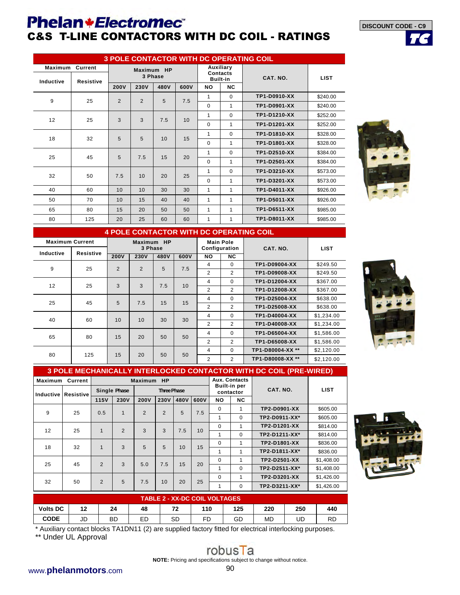## **Phelan+Electromec**® C&S T-LINE CONTACTORS WITH DC COIL - RATINGS

|                      | <b>3 POLE CONTACTOR WITH DC OPERATING COIL</b> |                |                |                       |      |           |                                          |              |             |  |  |  |
|----------------------|------------------------------------------------|----------------|----------------|-----------------------|------|-----------|------------------------------------------|--------------|-------------|--|--|--|
| Maximum<br>Inductive | Current<br><b>Resistive</b>                    |                |                | Maximum HP<br>3 Phase |      |           | Auxiliary<br>Contacts<br><b>Built-in</b> | CAT. NO.     | <b>LIST</b> |  |  |  |
|                      |                                                | <b>200V</b>    | 230V           | 480V                  | 600V | <b>NO</b> | <b>NC</b>                                |              |             |  |  |  |
| 9                    | 25                                             | $\overline{2}$ | $\overline{2}$ | 5                     | 7.5  | 1         | $\Omega$                                 | TP1-D0910-XX | \$240.00    |  |  |  |
|                      |                                                |                |                |                       |      | $\Omega$  | 1                                        | TP1-D0901-XX | \$240.00    |  |  |  |
| 12                   | 25                                             | 3              | 3              | 7.5                   | 10   | 1         | $\Omega$                                 | TP1-D1210-XX | \$252.00    |  |  |  |
|                      |                                                |                |                |                       |      | $\Omega$  | 1                                        | TP1-D1201-XX | \$252.00    |  |  |  |
| 18                   | 32                                             | 5              | 5              | 10                    | 15   | 1         | $\Omega$                                 | TP1-D1810-XX | \$328.00    |  |  |  |
|                      |                                                |                |                |                       |      | $\Omega$  | 1                                        | TP1-D1801-XX | \$328.00    |  |  |  |
| 25                   | 45                                             | 5              | 7.5            | 15                    | 20   | 1         | $\Omega$                                 | TP1-D2510-XX | \$384.00    |  |  |  |
|                      |                                                |                |                |                       |      | $\Omega$  | 1                                        | TP1-D2501-XX | \$384.00    |  |  |  |
| 32                   | 50                                             | 7.5            | 10             | 20                    |      | 1         | $\Omega$                                 | TP1-D3210-XX | \$573.00    |  |  |  |
|                      |                                                |                |                |                       | 25   | $\Omega$  | 1                                        | TP1-D3201-XX | \$573.00    |  |  |  |
| 40                   | 60                                             | 10             | 10             | 30                    | 30   | 1         | 1                                        | TP1-D4011-XX | \$926.00    |  |  |  |
| 50                   | 70                                             | 10             | 15             | 40                    | 40   | 1         | 1                                        | TP1-D5011-XX | \$926.00    |  |  |  |
| 65                   | 80                                             | 15             | 20             | 50                    | 50   | 1         | 1                                        | TP1-D6511-XX | \$985.00    |  |  |  |
| 80                   | 125                                            | 20             | 25             | 60                    | 60   | 1         | 1                                        | TP1-D8011-XX | \$985.00    |  |  |  |



**TC**

**DISCOUNT CODE - C9**

|                        | <b>4 POLE CONTACTOR WITH DC OPERATING COIL</b> |             |                       |      |      |                  |               |                  |             |  |  |
|------------------------|------------------------------------------------|-------------|-----------------------|------|------|------------------|---------------|------------------|-------------|--|--|
| <b>Maximum Current</b> |                                                |             | Maximum HP<br>3 Phase |      |      | <b>Main Pole</b> | Configuration | CAT. NO.         | <b>LIST</b> |  |  |
| Inductive              | Resistive                                      | <b>200V</b> | 230V                  | 480V | 600V | NO               | <b>NC</b>     |                  |             |  |  |
| 9                      | 25                                             | 2           | $\overline{2}$        | 5    | 7.5  | 4                | $\Omega$      | TP1-D09004-XX    | \$249.50    |  |  |
|                        |                                                |             |                       |      |      | 2                | 2             | TP1-D09008-XX    | \$249.50    |  |  |
| 12                     | 25                                             | 3           | 3                     | 7.5  | 10   | 4                | $\Omega$      | TP1-D12004-XX    | \$367.00    |  |  |
|                        |                                                |             |                       |      |      | $\overline{2}$   | 2             | TP1-D12008-XX    | \$367.00    |  |  |
| 25                     | 45                                             | 5           | 7.5                   | 15   | 15   | 4                | $\Omega$      | TP1-D25004-XX    | \$638.00    |  |  |
|                        |                                                |             |                       |      |      | $\overline{2}$   | 2             | TP1-D25008-XX    | \$638.00    |  |  |
| 40                     | 60                                             | 10          | 10                    | 30   | 30   | 4                | $\Omega$      | TP1-D40004-XX    | \$1,234.00  |  |  |
|                        |                                                |             |                       |      |      | 2                | 2             | TP1-D40008-XX    | \$1.234.00  |  |  |
| 65                     | 80                                             | 15          | 20                    | 50   | 50   | 4                | $\Omega$      | TP1-D65004-XX    | \$1,586.00  |  |  |
|                        |                                                |             |                       |      |      | 2                | 2             | TP1-D65008-XX    | \$1,586.00  |  |  |
| 80                     | 125                                            | 15          | 20                    | 50   | 50   | 4                | $\Omega$      | TP1-D80004-XX ** | \$2,120.00  |  |  |
|                        |                                                |             |                       |      |      | 2                | 2             | TP1-D80008-XX ** | \$2.120.00  |  |  |



| <b>3 POLE MECHANICALLY INTERLOCKED CONTACTOR WITH DC COIL (PRE-WIRED)</b> |                                                                                                                |                |              |               |                    |      |      |           |                                  |               |             |  |  |  |
|---------------------------------------------------------------------------|----------------------------------------------------------------------------------------------------------------|----------------|--------------|---------------|--------------------|------|------|-----------|----------------------------------|---------------|-------------|--|--|--|
| Maximum                                                                   | Current                                                                                                        |                |              | Maximum HP    |                    |      |      |           | <b>Aux. Contacts</b>             |               |             |  |  |  |
|                                                                           | <b>Inductive Resistive</b>                                                                                     |                | Single Phase |               | <b>Three Phase</b> |      |      |           | <b>Built-in per</b><br>contactor | CAT. NO.      | <b>LIST</b> |  |  |  |
|                                                                           |                                                                                                                | 115V           | 230V         | 200V          | 230V               | 480V | 600V | <b>NO</b> | <b>NC</b>                        |               |             |  |  |  |
| 9                                                                         | 25                                                                                                             | 0.5            | $\mathbf{1}$ | $\mathcal{P}$ | $\overline{2}$     | 5    | 7.5  | $\Omega$  | $\mathbf{1}$                     | TP2-D0901-XX  | \$605.00    |  |  |  |
|                                                                           | TP2-D0911-XX*<br>$\Omega$<br>\$605.00<br>1                                                                     |                |              |               |                    |      |      |           |                                  |               |             |  |  |  |
|                                                                           | $\Omega$<br>TP2-D1201-XX<br>\$814.00<br>1<br>3<br>$\mathfrak{p}$<br>3<br>12<br>25<br>7.5<br>$\mathbf{1}$<br>10 |                |              |               |                    |      |      |           |                                  |               |             |  |  |  |
|                                                                           |                                                                                                                |                |              |               |                    |      |      | 1         | $\Omega$                         | TP2-D1211-XX* | \$814.00    |  |  |  |
| 18                                                                        | 32                                                                                                             | $\mathbf{1}$   | 3            | 5             | 5                  | 10   | 15   | 0         | 1                                | TP2-D1801-XX  | \$836.00    |  |  |  |
|                                                                           |                                                                                                                |                |              |               |                    |      |      | 1         | $\mathbf{1}$                     | TP2-D1811-XX* | \$836.00    |  |  |  |
| 25                                                                        | 45                                                                                                             | $\overline{2}$ | 3            | 5.0           | 7.5                | 15   | 20   | $\Omega$  | 1                                | TP2-D2501-XX  | \$1,408.00  |  |  |  |
|                                                                           |                                                                                                                |                |              |               |                    |      |      | 1         | $\Omega$                         | TP2-D2511-XX* | \$1,408.00  |  |  |  |
| 32                                                                        | 50                                                                                                             | $\overline{2}$ | 5            | 7.5           | 10                 | 20   |      | $\Omega$  | 1                                | TP2-D3201-XX  | \$1,426.00  |  |  |  |
|                                                                           |                                                                                                                |                |              |               |                    |      | 25   | 1         | $\Omega$                         | TP2-D3211-XX* | \$1,426.00  |  |  |  |
|                                                                           | <b>TABLE 2 - XX-DC COIL VOLTAGES</b>                                                                           |                |              |               |                    |      |      |           |                                  |               |             |  |  |  |



| <b>CODE</b>                                                                                              | JD | BD. | ED | - SD | - FD | GD | MD | UD | <b>RD</b> |
|----------------------------------------------------------------------------------------------------------|----|-----|----|------|------|----|----|----|-----------|
| * Auxiliary contact blocks TA1DN11 (2) are supplied factory fitted for electrical interlocking purposes. |    |     |    |      |      |    |    |    |           |

**Volts DC 12 24 48 72 110 125 220 250 440**

\*\* Under UL Approval